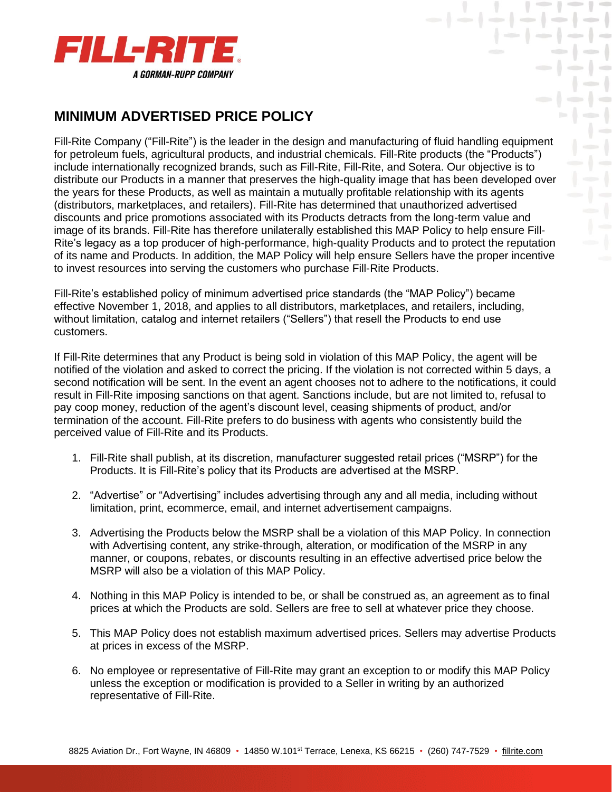

## **MINIMUM ADVERTISED PRICE POLICY**

Fill-Rite Company ("Fill-Rite") is the leader in the design and manufacturing of fluid handling equipment for petroleum fuels, agricultural products, and industrial chemicals. Fill-Rite products (the "Products") include internationally recognized brands, such as Fill-Rite, Fill-Rite, and Sotera. Our objective is to distribute our Products in a manner that preserves the high-quality image that has been developed over the years for these Products, as well as maintain a mutually profitable relationship with its agents (distributors, marketplaces, and retailers). Fill-Rite has determined that unauthorized advertised discounts and price promotions associated with its Products detracts from the long-term value and image of its brands. Fill-Rite has therefore unilaterally established this MAP Policy to help ensure Fill-Rite's legacy as a top producer of high-performance, high-quality Products and to protect the reputation of its name and Products. In addition, the MAP Policy will help ensure Sellers have the proper incentive to invest resources into serving the customers who purchase Fill-Rite Products.

 $\mathbf{y}$  ,  $\mathbf{y} = \mathbf{y} - \mathbf{y}$ 

Fill-Rite's established policy of minimum advertised price standards (the "MAP Policy") became effective November 1, 2018, and applies to all distributors, marketplaces, and retailers, including, without limitation, catalog and internet retailers ("Sellers") that resell the Products to end use customers.

If Fill-Rite determines that any Product is being sold in violation of this MAP Policy, the agent will be notified of the violation and asked to correct the pricing. If the violation is not corrected within 5 days, a second notification will be sent. In the event an agent chooses not to adhere to the notifications, it could result in Fill-Rite imposing sanctions on that agent. Sanctions include, but are not limited to, refusal to pay coop money, reduction of the agent's discount level, ceasing shipments of product, and/or termination of the account. Fill-Rite prefers to do business with agents who consistently build the perceived value of Fill-Rite and its Products.

- 1. Fill-Rite shall publish, at its discretion, manufacturer suggested retail prices ("MSRP") for the Products. It is Fill-Rite's policy that its Products are advertised at the MSRP.
- 2. "Advertise" or "Advertising" includes advertising through any and all media, including without limitation, print, ecommerce, email, and internet advertisement campaigns.
- 3. Advertising the Products below the MSRP shall be a violation of this MAP Policy. In connection with Advertising content, any strike-through, alteration, or modification of the MSRP in any manner, or coupons, rebates, or discounts resulting in an effective advertised price below the MSRP will also be a violation of this MAP Policy.
- 4. Nothing in this MAP Policy is intended to be, or shall be construed as, an agreement as to final prices at which the Products are sold. Sellers are free to sell at whatever price they choose.
- 5. This MAP Policy does not establish maximum advertised prices. Sellers may advertise Products at prices in excess of the MSRP.
- 6. No employee or representative of Fill-Rite may grant an exception to or modify this MAP Policy unless the exception or modification is provided to a Seller in writing by an authorized representative of Fill-Rite.